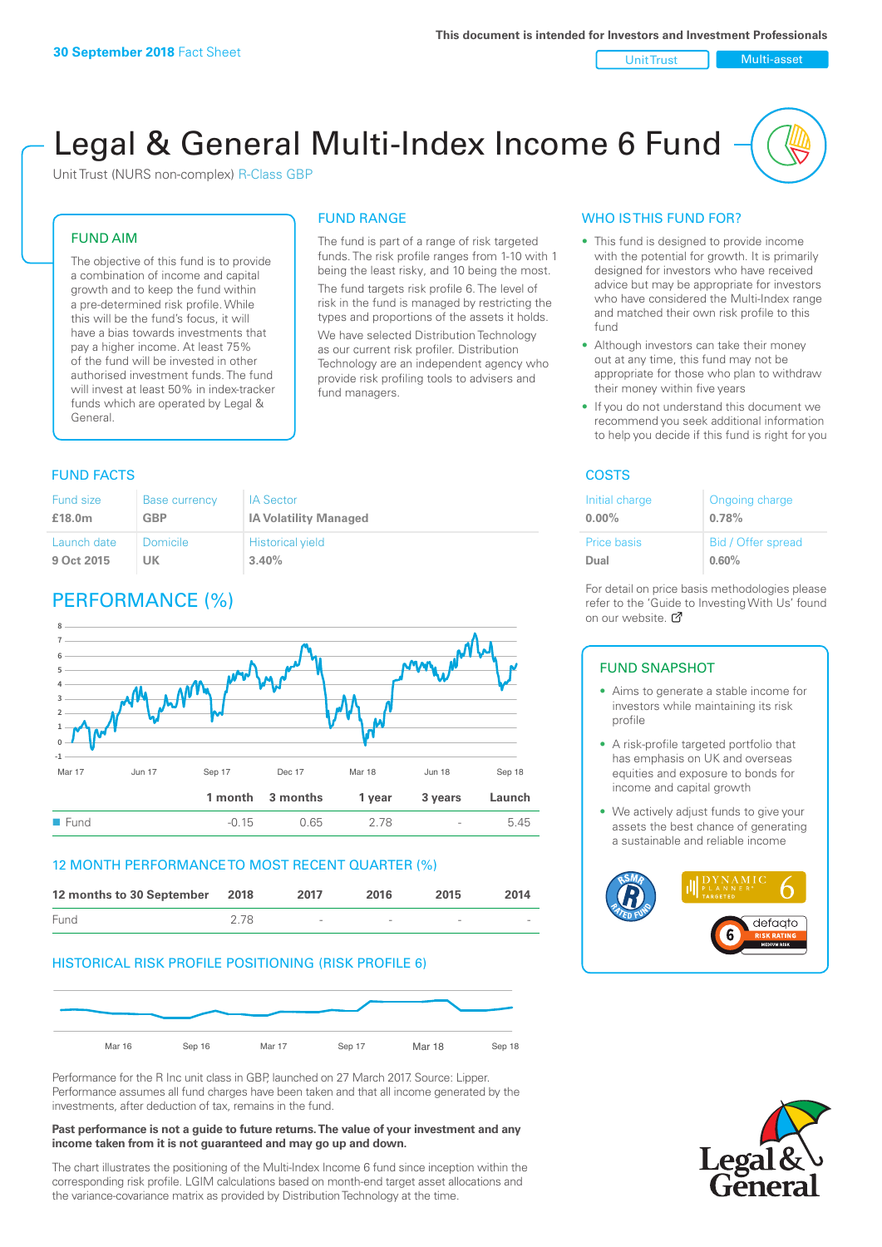#### Unit Trust Nulti-asset

# Legal & General Multi-Index Income 6 Fund

Unit Trust (NURS non-complex) R-Class GBP

# FUND AIM

The objective of this fund is to provide a combination of income and capital growth and to keep the fund within a pre-determined risk profile. While this will be the fund's focus, it will have a bias towards investments that pay a higher income. At least 75% of the fund will be invested in other authorised investment funds. The fund will invest at least 50% in index-tracker funds which are operated by Legal & General.

# FUND RANGE

The fund is part of a range of risk targeted funds. The risk profile ranges from 1-10 with 1 being the least risky, and 10 being the most. The fund targets risk profile 6. The level of risk in the fund is managed by restricting the

types and proportions of the assets it holds. We have selected Distribution Technology as our current risk profiler. Distribution Technology are an independent agency who provide risk profiling tools to advisers and fund managers.

# **FUND FACTS** COSTS

| Fund size   | <b>Base currency</b> | <b>IA Sector</b>             |
|-------------|----------------------|------------------------------|
| £18.0m      | <b>GBP</b>           | <b>IA Volatility Managed</b> |
| Launch date | <b>Domicile</b>      | <b>Historical yield</b>      |
| 9 Oct 2015  | UK                   | 3.40%                        |

# PERFORMANCE (%)



### 12 MONTH PERFORMANCE TO MOST RECENT QUARTER (%)



# HISTORICAL RISK PROFILE POSITIONING (RISK PROFILE 6)



Performance for the R Inc unit class in GBP, launched on 27 March 2017. Source: Lipper. Performance assumes all fund charges have been taken and that all income generated by the investments, after deduction of tax, remains in the fund.

#### **Past performance is not a guide to future returns. The value of your investment and any income taken from it is not guaranteed and may go up and down.**

The chart illustrates the positioning of the Multi-Index Income 6 fund since inception within the corresponding risk profile. LGIM calculations based on month-end target asset allocations and the variance-covariance matrix as provided by Distribution Technology at the time.

# WHO IS THIS FUND FOR?

- This fund is designed to provide income with the potential for growth. It is primarily designed for investors who have received advice but may be appropriate for investors who have considered the Multi-Index range and matched their own risk profile to this fund
- Although investors can take their money out at any time, this fund may not be appropriate for those who plan to withdraw their money within five years
- If you do not understand this document we recommend you seek additional information to help you decide if this fund is right for you

| Initial charge | Ongoing charge     |
|----------------|--------------------|
| $0.00\%$       | 0.78%              |
| Price basis    | Bid / Offer spread |
| Dual           | 0.60%              |

For detail on price basis methodologies please refer to the 'Guide to Investing With Us' found on our website. Ø

# FUND SNAPSHOT

- Aims to generate a stable income for investors while maintaining its risk profile
- A risk-profile targeted portfolio that has emphasis on UK and overseas equities and exposure to bonds for income and capital growth
- We actively adjust funds to give your assets the best chance of generating a sustainable and reliable income



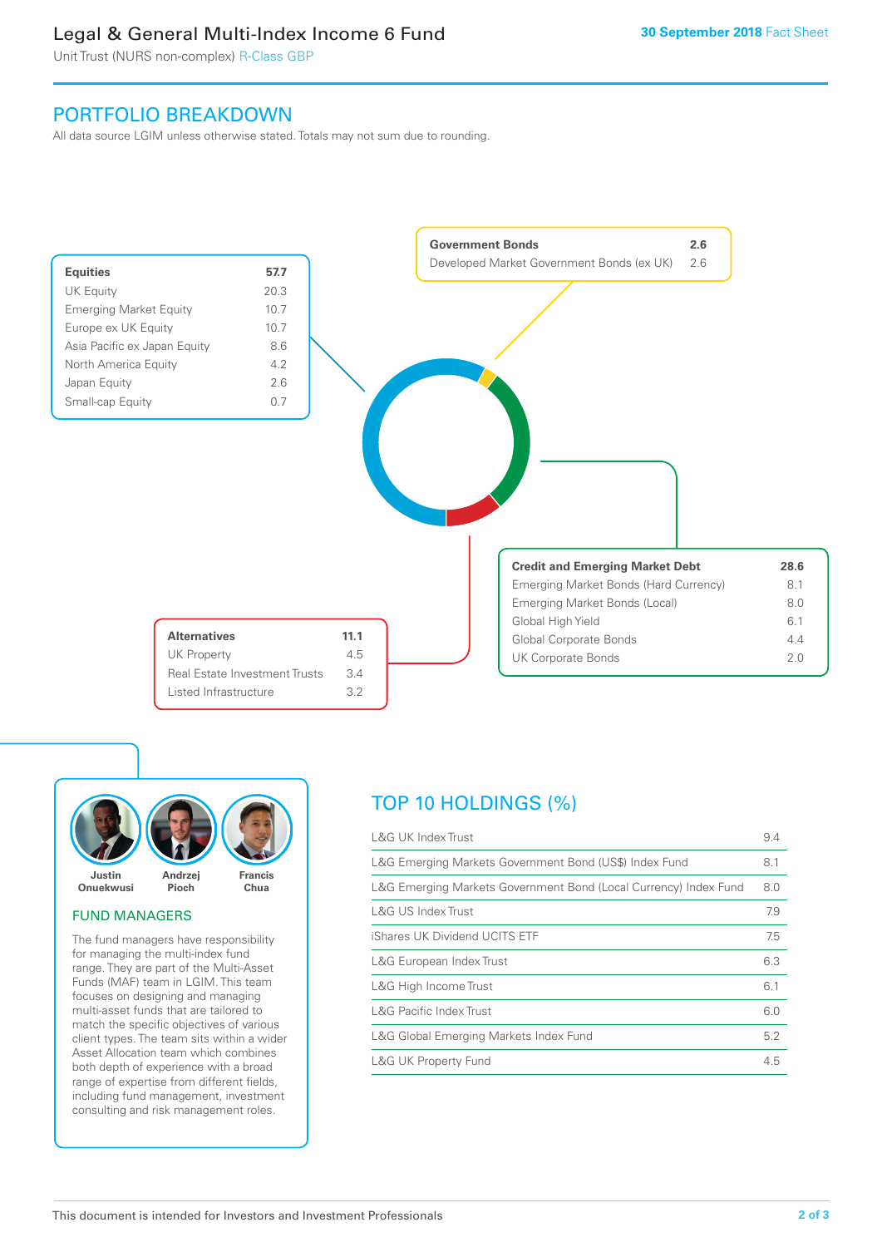# Legal & General Multi-Index Income 6 Fund

Unit Trust (NURS non-complex) R-Class GBP

# PORTFOLIO BREAKDOWN

All data source LGIM unless otherwise stated. Totals may not sum due to rounding.





# FUND MANAGERS

The fund managers have responsibility for managing the multi-index fund range. They are part of the Multi-Asset Funds (MAF) team in LGIM. This team focuses on designing and managing multi-asset funds that are tailored to match the specific objectives of various client types. The team sits within a wider Asset Allocation team which combines both depth of experience with a broad range of expertise from different fields, including fund management, investment consulting and risk management roles.

# TOP 10 HOLDINGS (%)

| <b>L&amp;G UK Index Trust</b>                                    | 9.4 |
|------------------------------------------------------------------|-----|
| L&G Emerging Markets Government Bond (US\$) Index Fund           | 8.1 |
| L&G Emerging Markets Government Bond (Local Currency) Index Fund | 8.0 |
| L&G US Index Trust                                               | 7.9 |
| iShares UK Dividend UCITS ETF                                    | 7.5 |
| L&G European Index Trust                                         | 6.3 |
| L&G High Income Trust                                            | 6.1 |
| <b>L&amp;G Pacific Index Trust</b>                               | 6.0 |
| L&G Global Emerging Markets Index Fund                           | 5.2 |
| <b>L&amp;G UK Property Fund</b>                                  | 4.5 |